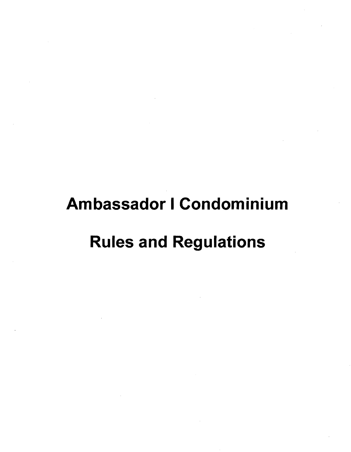# Ambassador I Condominium

# Rules and Regulations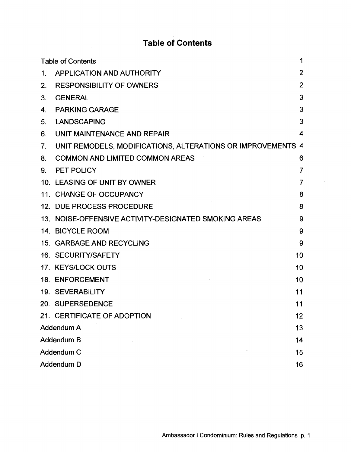# **Table of Contents**

 $\hat{\mathcal{A}}$ 

|            | 1<br><b>Table of Contents</b>                               |                |  |
|------------|-------------------------------------------------------------|----------------|--|
| 1.         | APPLICATION AND AUTHORITY                                   | $\overline{2}$ |  |
| 2.         | <b>RESPONSIBILITY OF OWNERS</b>                             | $\overline{2}$ |  |
| 3.         | <b>GENERAL</b>                                              | 3              |  |
| 4.         | <b>PARKING GARAGE</b>                                       | 3              |  |
| 5.         | <b>LANDSCAPING</b>                                          | 3              |  |
| 6.         | UNIT MAINTENANCE AND REPAIR                                 | 4              |  |
| 7.         | UNIT REMODELS, MODIFICATIONS, ALTERATIONS OR IMPROVEMENTS 4 |                |  |
| 8.         | <b>COMMON AND LIMITED COMMON AREAS</b>                      | 6              |  |
| 9.         | PET POLICY                                                  | 7              |  |
|            | 10. LEASING OF UNIT BY OWNER                                | 7              |  |
|            | 11. CHANGE OF OCCUPANCY                                     | 8              |  |
|            | 12. DUE PROCESS PROCEDURE                                   | 8              |  |
|            | 13. NOISE-OFFENSIVE ACTIVITY-DESIGNATED SMOKING AREAS       | 9              |  |
|            | 14. BICYCLE ROOM                                            | 9              |  |
|            | 15. GARBAGE AND RECYCLING                                   | 9              |  |
|            | 16. SECURITY/SAFETY                                         | 10             |  |
|            | 17. KEYS/LOCK OUTS                                          | 10             |  |
|            | 18. ENFORCEMENT                                             | 10             |  |
|            | 19. SEVERABILITY                                            | 11             |  |
|            | 20. SUPERSEDENCE                                            | 11             |  |
|            | 21. CERTIFICATE OF ADOPTION                                 | 12             |  |
| Addendum A |                                                             | 13             |  |
|            | Addendum B                                                  |                |  |
|            | Addendum C<br>15                                            |                |  |
|            | Addendum D<br>16                                            |                |  |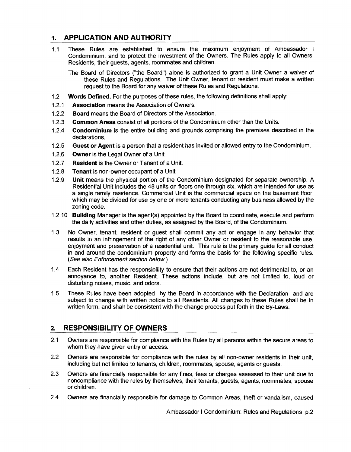# **1. APPLICATION AND AUTHORITY**

1.1 These Rules are established to ensure the maximum enjoyment of Ambassador I Condominium, and to protect the investment of the Owners. The Rules apply to all Owners, Residents, their guests, agents, roommates and children.

The Board of Directors ("the Board") alone is authorized to grant a Unit Owner a waiver of these Rules and Regulations. The Unit Owner, tenant or resident must make a written request to the Board for any waiver of these Rules and Regulations.

- 1.2 **Words Defined.** For the purposes of these rules, the following definitions shall apply:
- 1.2.1 **Association** means the Association of Owners.
- 1.2.2 **Board** means the Board of Directors of the Association.
- 1.2.3 **Common Areas** consist of all portions of the Condominium other than the Units.
- 1.2.4 **Condominium** is the entire building and grounds comprising the premises described in the declarations.
- 1.2.5 **Guest or Agent** is a person that a resident has invited or allowed entry to the Condominium.
- 1.2.6 **Owner** is the Legal Owner of a Unit.
- 1.2.7 **Resident** is the Owner or Tenant of a Unit.
- 1.2.8 **Tenant** is non-owner occupant of a Unit.
- 1.2.9 **Unit** means the physical portion of the Condominium designated for separate ownership. A Residential Unit includes the 48 units on floors one through six, which are intended for use as a single family residence. Commercial Unit is the commercial space on the basement floor, which may be divided for use by one or more tenants conducting any business allowed by the zoning code.
- 1.2.10 **Building** Manager is the agent(s) appointed by the Board to coordinate, execute and perform the daily activities and other duties, as assigned by the Board, of the Condominium.
- 1.3 No Owner, tenant, resident or guest shall commit any act or engage in any behavior that results in an infringement of the right of any other Owner or resident to the reasonable use, enjoyment and preservation of a residential unit. This rule is the primary guide for all conduct in and around the condominium property and forms the basis for the following specific rules. (See also Enforcement section below.)
- 1.4 Each Resident has the responsibility to ensure that their actions are not detrimental to, or an annoyance to, another Resident. These actions include, but are not limited to, loud or disturbing noises, music, and odors.
- 1.5 These Rules have been adopted by the Board in accordance with the Declaration and are subject to change with written notice to all Residents. All changes to these Rules shall be in written form, and shall be consistent with the change process put forth in the By-Laws.

## **2. RESPONSIBILITY OF OWNERS**

- 2.1 Owners are responsible for compliance with the Rules by all persons within the secure areas to whom they have given entry or access.
- 2.2 Owners are responsible for compliance with the rules by all non-owner residents in their unit, including but not limited to tenants, children, roommates, spouse, agents or guests.
- 2.3 Owners are financially responsible for any fines, fees or charges assessed to their unit due to noncompliance with the rules by themselves, their tenants, guests, agents, roommates, spouse or children.
- 2.4 Owners are financially responsible for damage to Common Areas, theft or vandalism, caused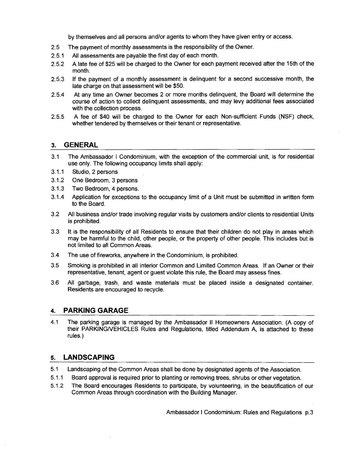by themselves and all persons and/or agents to whom they have given entry or access.

- 2.5 The payment of monthly assessments is the responsibility of the Owner.
- 2.5.1 All assessments are payable the first day of each month.
- 2.5.2 A late fee of \$25 will be charged to the Owner for each payment received after the 15th of the month.
- 2.5.3 If the payment of a monthly assessment is delinquent for a second successive month, the late charge on that assessment will be \$50.
- 2.5.4 At any time an Owner becomes 2 or more months delinquent, the Board will determine the course of action to collect delinquent assessments, and may levy additional fees associated with the collection process.
- 2.5.5 A fee of \$40 will be charged to the Owner for each Non-sufficient Funds (NSF) check, whether tendered by themselves or their tenant or representative.

#### 3. **GENERAL**

- 3.1 The Ambassador I Condominium, with the exception of the commercial unit, is for residential use only. The following occupancy limits shall apply:
- 3.1.1 Studio, 2 persons
- 3.1.2 One Bedroom, 3 persons
- 3.1.3 Two Bedroom, 4 persons.
- 3.1.4 Application for exceptions to the occupancy limit of a Unit must be submitted in written form to the Board.
- 3.2 All business and/or trade involving regular visits by customers and/or clients to residential Units is prohibited.
- 3.3 It is the responsibility of all Residents to ensure that their children do not play in areas which may be harmful to the child, other people, or the property of other people. This includes but is not limited to all Common Areas.
- 3.4 The use of fireworks, anywhere in the Condominium, is prohibited.
- 3.5 Smoking is prohibited in all interior Common and Limited Common Areas. If an Owner or their representative, tenant, agent or guest violate this rule, the Board may assess fines.
- 3.6 All garbage, trash, and waste materials must be placed inside a designated container. Residents are encouraged to recycle.

#### 4. **PARKING GARAGE**

4.1 The parking garage is managed by the Ambassador II Homeowners Association. (A copy of their PARKINGNEHICLES Rules and Regulations, titled Addendum A, is attached to these rules.)

## 5. **LANDSCAPING**

- 5.1 Landscaping of the Common Areas shall be done by designated agents of the Association.
- 5.1.1 Board approval is required prior to planting or removing trees, shrubs or other vegetation.
- 5.1.2 The Board encourages Residents to participate, by volunteering, in the beautification of our Common Areas through coordination with the Building Manager.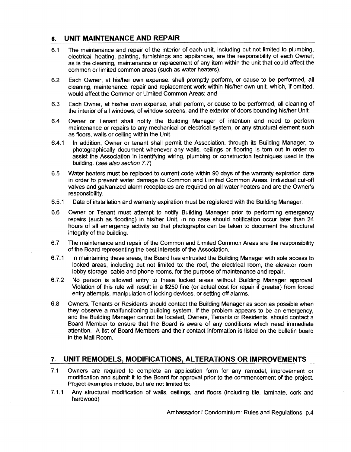# 6. **UNIT MAINTENANCE AND REPAIR**

- 6.1 The maintenance and repair of the interior of each unit, including but not limited to plumbing, electrical, heating, painting, furnishings and appliances, are the responsibility of each Owner; as is the cleaning, maintenance or replacement of any item within the unit that could affect the common or limited common areas (such as water heaters).
- 6.2 Each Owner, at his/her own expense, shall promptly perform, or cause to be performed, all cleaning, maintenance, repair and replacement work within his/her own unit, which, if omitted, would affect the Common or Limited Common Areas; and
- 6.3 Each Owner, at his/her own expense, shall perform, or cause to be performed, all cleaning of the interior of all windows, of window screens, and the exterior of doors bounding his/her Unit.
- 6.4 Owner or Tenant shall notify the Building Manager of intention and need to perform maintenance or repairs to any mechanical or electrical system, or any structural element such as floors, walls or ceiling within the Unit.
- 6.4.1 In addition, Owner or tenant shall permit the Association, through its Building Manager, to photographically document whenever any walls, ceilings or flooring is torn out in order to assist the Association in identifying wiring, plumbing or construction techniques used in the building. (see also section 7.7)
- 6.5 Water heaters must be replaced to current code within 90 days of the warranty expiration date in order to prevent water damage to Common and Limited Common Areas. Individual cut-off valves and galvanized alarm receptacles are required on all water heaters and are the Owner's responsibility.
- 6.5.1 Date of installation and warranty expiration must be registered with the Building Manager.
- 6.6 Owner or Tenant must attempt to notify Building Manager prior to performing emergency repairs (such as flooding) in his/her Unit. In no case should notification occur later than 24 hours of all emergency activity so that photographs can be taken to document the structural integrity of the building.
- 6.7 The maintenance and repair of the Common and Limited Common Areas are the responsibility of the Board representing the best interests of the Association.
- 6.7.1 In maintaining these areas, the Board has entrusted the Building Manager with sole access to locked areas, including but not limited to: the roof, the electrical room, the elevator room, lobby storage, cable and phone rooms, for the purpose of maintenance and repair.
- 6.7.2 No person is allowed entry to these locked areas without Building Manager approval. Violation of this rule will result in a \$250 fine (or actual cost for repair if greater) from forced entry attempts, manipulation of locking devices, or setting off alarms.
- 6.8 Owners, Tenants or Residents should contact the Building Manager as soon as possible when they observe a malfunctioning building system. If the problem appears to be an emergency, and the Building Manager cannot be located, Owners, Tenants or Residents, should contact a Board Member to ensure that the Board is aware of any conditions which need immediate attention. A list of Board Members and their contact information is listed on the bulletin board in the Mail Room.

## 7. **UNIT REMODELS, MODIFICATIONS, ALTERATIONS OR IMPROVEMENTS**

- 7.1 Owners are required to complete an application form for any remodel, improvement or modification and submit it to the Board for approval prior to the commencement of the project. Project examples include, but are not limited to:
- 7.1.1 Any structural modification of walls, ceilings, and floors (including tile, laminate, cork and hardwood)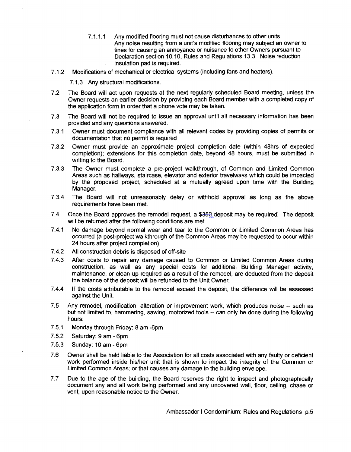- 7.1.1.1 Any modified flooring must not cause disturbances to other units. Any noise resulting from a unit's modified flooring may subject an owner to fines for causing an annoyance or nuisance to other Owners pursuant to Declaration section 10.10, Rules and Regulations 13.3. Noise reduction insulation pad is required.
- 7.1.2 Modifications of mechanical or electrical systems (including fans and heaters).

7.1.3 Any structural modifications.

- 7.2 The Board will act upon requests at the next regularly scheduled Board meeting, unless the Owner requests an earlier decision by providing each Board member with a completed copy of the application form in order that a phone vote may be taken.
- 7.3 The Board will not be required to issue an approval until all necessary information has been provided and any questions answered.
- 7.3.1 Owner must document compliance with all relevant codes by providing copies of permits or documentation that no permit is required
- 7.3.2 Owner must provide an approximate project completion date (within 48hrs of expected completion); extensions for this completion date, beyond 48 hours, must be submitted in writing to the Board.
- 7.3.3 The Owner must complete a pre-project walkthrough, of Common and Limited Common Areas such as hallways, staircase, elevator and exterior travelways which could be impacted by the proposed project, scheduled at a mutually agreed upon time with the Building Manager.
- 7.3.4 The Board will not unreasonably delay or withhold approval as long as the above requirements have been met.
- 7.4 Once the Board approves the remodel request, a \$350 deposit may be required. The deposit will be returned after the following conditions are met:
- 7.4.1 No damage beyond normal wear and tear to the Common or Limited Common Areas has occurred (a post-project walkthrough of the Common Areas may be requested to occur within 24 hours after project completion),
- 7.4.2 All construction debris is disposed of off-site
- 7.4.3 After costs to repair any damage caused to Common or Limited Common Areas during construction, as well as any special costs for additional Building Manager activity, maintenance, or clean up required as a result of the remodel, are deducted from the deposit the balance of the deposit will be refunded to the Unit Owner.
- 7.4.4 If the costs attributable to the remodel exceed the deposit, the difference will be assessed against the Unit
- 7.5 Any remodel, modification, alteration or improvement work, which produces noise -- such as but not limited to, hammering, sawing, motorized tools - can only be done during the following hours:
- 7.5.1 Monday through Friday: 8 am -6pm
- 7.5.2 Saturday: 9 am Spm
- 7.5.3 Sunday: 10 am Spm
- 7.S Owner shall be held liable to the Association for all costs associated with any faulty or deficient work performed inside his/her unit that is shown to impact the integrity of the Common or Limited Common Areas; or that causes any damage to the building envelope.
- 7.7 Due to the age of the building, the Board reserves the right to inspect and photographically document any and all work being performed and any uncovered wall, floor, ceiling, chase or vent, upon reasonable notice to the Owner.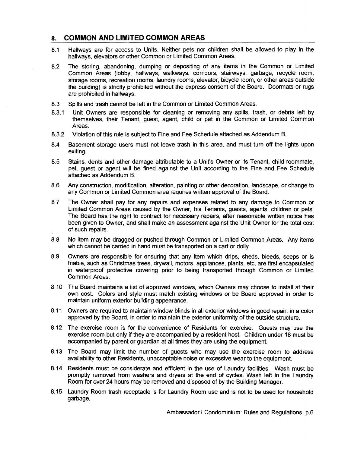# 8. **COMMON AND LIMITED COMMON AREAS**

- 8.1 Hallways are for access to Units. Neither pets nor children shall be allowed to play in the hallways, elevators or other Common or Limited Common Areas.
- 8.2 The storing, abandoning, dumping or depositing of any items in the Common or Limited Common Areas (lobby, hallways, walkways, corridors, stairways, garbage, recycle room, storage rooms, recreation rooms, laundry rooms, elevator, bicycle room, or other areas outside the building) is strictly prohibited without the express consent of the Board. Doormats or rugs are prohibited in hallways.
- 8.3 Spills and trash cannot be left in the Common or Limited Common Areas.
- 8.3.1 Unit Owners are responsible for cleaning or removing any spills, trash, or debris left by themselves, their Tenant, guest, agent, child or pet in the Common or Limited Common Areas.
- 8.3.2 Violation of this rule is subject to Fine and Fee Schedule attached as Addendum B.
- 8.4 Basement storage users must not leave trash in this area, and must turn off the lights upon exiting.
- 8.5 Stains, dents and other damage attributable to a Unit's Owner or its Tenant, child roommate, pet, guest or agent will be fined against the Unit according to the Fine and Fee Schedule attached as Addendum B.
- 8.6 Any construction, modification, alteration, painting or other decoration, landscape, or change to any Common or Limited Common area requires written approval of the Board.
- 8.7 The Owner shall pay for any repairs and expenses related to any damage to Common or Limited Common Areas caused by the Owner, his Tenants, guests, agents, children or pets. The Board has the right to contract for necessary repairs, after reasonable written notice has been given to Owner, and shall make an assessment against the Unit Owner for the total cost of such repairs.
- 8.8 No item may be dragged or pushed through Common or Limited Common Areas. Any items which cannot be carried in hand must be transported on a cart or dolly.
- 8.9 Owners are responsible for ensuring that any item which drips, sheds, bleeds, seeps or is friable, such as Christmas trees, drywall, motors, appliances, plants, etc, are first encapsulated in waterproof protective covering prior to being transported through Common or Limited Common Areas.
- 8.10 The Board maintains a list of approved windows, which Owners may choose to install at their own cost. Colors and style must match existing windows or be Board approved in order to maintain uniform exterior building appearance.
- 8.11 Owners are required to maintain window blinds in all exterior windows in good repair, in a color approved by the Board, in order to maintain the exterior uniformity of the outside structure.
- 8.12 The exercise room is for the convenience of Residents for exercise. Guests may use the exercise room but only if they are accompanied by a resident host. Children under 18 must be accompanied by parent or guardian at all times they are using the equipment.
- 8.13 The Board may limit the number of guests who may use the exercise room to address availability to other Residents, unacceptable noise or excessive wear to the equipment.
- 8.14 Residents must be considerate and efficient in the use of Laundry facilities. Wash must be promptly removed from washers and dryers at the end of cycles. Wash left in the Laundry Room for over 24 hours may be removed and disposed of by the Building Manager.
- 8.15 Laundry Room trash receptacle is for Laundry Room use and is not to be used for household garbage.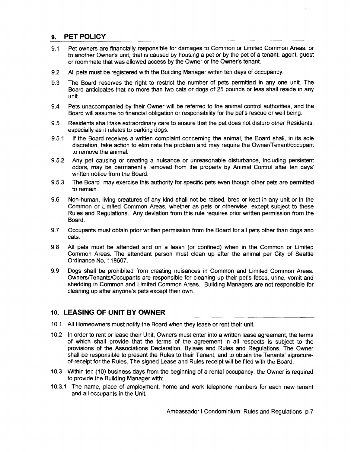# **9. PET POLICY**

- 9.1 Pet owners are financially responsible for damages to Common or Limited Common Areas, or to another Owner's unit, that is caused by housing a pet or by the pet of a tenant, agent, guest or roommate that was allowed access by the Owner or the Owner's tenant.
- 9.2 All pets must be registered with the Building Manager within ten days of occupancy.
- 9.3 The Board reserves the right to restrict the number of pets permitted in anyone unit. The Board anticipates that no more than two cats or dogs of 25 pounds or less shall reside in any unit.
- 9.4 Pets unaccompanied by their Owner will be referred to the animal control authorities, and the Board will assume no financial obligation or responsibility for the pet's rescue or well being.
- 9.5 Residents shall take extraordinary care to ensure that the pet does not disturb other Residents, especially as it relates to barking dogs.
- 9.5.1 If the Board receives a written complaint concerning the animal, the Board shall, in its sole discretion, take action to eliminate the problem and may require the OwnerfTenantloccupant to remove the animal.
- 9.5.2 Any pet causing or creating a nuisance or unreasonable disturbance, including persistent odors, may be permanently removed from the property by Animal Control after ten days' written notice from the Board.
- 9.5.3 The Board may exercise this authority for specific pets even though other pets are permitted to remain.
- 9.6 Non-human, living creatures of any kind shall not be raised, bred or kept in any unit or in the Common or Limited Common Areas, whether as pets or otherwise, except subject to these Rules and Regulations. Any deviation from this rule requires prior written permission from the Board.
- 9.7 Occupants must obtain prior written permission from the Board for all pets other than dogs and cats.
- 9.8 All pets must be attended and on a leash (or confined) when in the Common or Limited Common Areas. The attendant person must clean up after the animal per City of Seattle Ordinance No. 118607.
- 9.9 Dogs shall be prohibited from creating nuisances in Common and Limited Common Areas. OwnersfT enants/Occupants are responsible for cleaning up their pet's feces, urine, vomit and shedding in Common and Limited Common Areas. Building Managers are not responsible for cleaning up after anyone's pets except their own.

# **10. LEASING OF UNIT BY OWNER**

- 10.1 All Homeowners must notify the Board when they lease or rent their unit.
- 10.2 In order to rent or lease their Unit, Owners must enter into a written lease agreement, the terms of which shall provide that the terms of the agreement in all respects is subject to the provisions of the Associations Declaration, Bylaws and Rules and Regulations. The Owner shall be responsible to present the Rules to their Tenant, and to obtain the Tenants' signatureof-receipt for the Rules. The signed Lease and Rules receipt will be filed with the Board.
- 10.3 Within ten (10) business days from the beginning of a rental occupancy, the Owner is required to provide the Building Manager with:
- 10.3.1 The name, place of employment, home and work telephone numbers for each new tenant and all occupants in the Unit.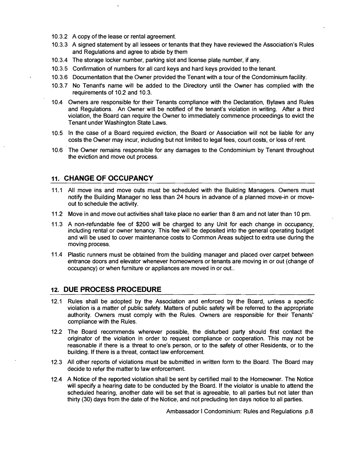- 10.3.2 A copy of the lease or rental agreement.
- 10.3.3 A signed statement by all lessees or tenants that they have reviewed the Association's Rules and Regulations and agree to abide by them
- 10.3.4 The storage locker number, parking slot and license plate number, if any.
- 10.3.5 Confirmation of numbers for all card keys and hard keys provided to the tenant.
- 10.3.6 Documentation that the Owner provided the Tenant with a tour of the Condominium facility.
- 10.3.7 No Tenant's name will be added to the Directory until the Owner has complied with the requirements of 10.2 and 10.3.
- 10.4 Owners are responsible for their Tenants compliance with the Declaration, Bylaws and Rules and Regulations. An Owner will be notified of the tenant's violation in writing. After a third violation, the Board can require the Owner to immediately commence proceedings to evict the Tenant under Washington State Laws.
- 10.5 In the case of a Board required eviction, the Board or Association will not be liable for any costs the Owner may incur, including but not limited to legal fees, court costs, or loss of rent.
- 10.6 The Owner remains responsible for any damages to the Condominium by Tenant throughout the eviction and move out process.

## 11. CHANGE OF OCCUPANCY

- 11.1 All move ins and move outs must be scheduled with the Building Managers. Owners must notify the Building Manager no less than 24 hours in advance of a planned move-in or moveout to schedule the activity.
- 11.2 Move in and move out activities shall take place no earlier than 8 am and not later than 10 pm.
- 11.3 A non-refundable fee of \$200 will be charged to any Unit for each change in occupancy, including rental or owner tenancy. This fee will be deposited into the general operating budget and will be used to cover maintenance costs to Common Areas subject to extra use during the moving process.
- 11.4 Plastic runners must be obtained from the building manager and placed over carpet between entrance doors and elevator whenever homeowners or tenants are moving in or out (change of occupancy) or when furniture or appliances are moved in or out..

## 12. DUE PROCESS PROCEDURE

- 12.1 Rules shall be adopted by the Association and enforced by the Board, unless a specific violation is a matter of public safety. Matters of public safety will be referred to the appropriate authority. Owners must comply with the Rules. Owners are responsible for their Tenants' compliance with the Rules.
- 12.2 The Board recommends wherever possible, the disturbed party should first contact the originator of the violation in order to request compliance or cooperation. This may not be reasonable if there is a threat to one's person, or to the safety of other Residents, or to the building. If there is a threat, contact law enforcement.
- 12.3 All other reports of violations must be submitted in written form to the Board. The Board may decide to refer the matter to !aw enforcement.
- 12.4 A Notice of the reported violation shall be sent by certified mail to the Homeowner. The Notice will specify a hearing date to be conducted by the Board. If the violator is unable to attend the scheduled hearing, another date will be set that is agreeable, to all parties but not later than thirty (30) days from the date of the Notice, and not precluding ten days notice to all parties.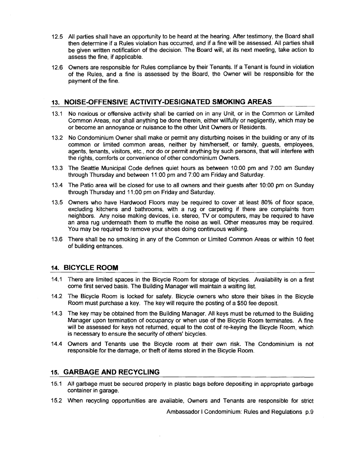- 12.5 All parties shall have an opportunity to be heard at the hearing. After testimony, the Board shall then determine if a Rules violation has occurred, and if a fine will be assessed. All parties shall be given written notification of the decision. The Board will, at its next meeting, take action to assess the fine, if applicable.
- 12.6 Owners are responsible for Rules compliance by their Tenants. If a Tenant is found in violation of the Rules, and a fine is assessed by the Board, the Owner will be responsible for the payment of the fine.

# 13. **NOISE-OFFENSIVE ACTIVITY-DESIGNATED SMOKING AREAS**

- 13.1 No noxious or offensive activity shall be carried on in any Unit, or in the Common or Limited Common Areas, nor shall anything be done therein, either willfully or negligently, which may be or become an annoyance or nuisance to the other Unit Owners or Residents.
- 13.2 No Condominium Owner shall make or permit any disturbing noises in the building or any of its common or limited common areas, neither by himlherself, or family, guests, employees, agents, tenants, visitors, etc., nor do or permit anything by such persons, that will interfere with the rights, comforts or convenience of other condominium Owners.
- 13.3 The Seattle Municipal Code defines quiet hours as between 10:00 pm and 7:00 am Sunday through Thursday and between 11 :00 pm and 7:00 am Friday and Saturday.
- 13.4 The Patio area will be closed for use to all owners and their guests after 10:00 pm on Sunday through Thursday and 11 :00 pm on Friday and Saturday.
- 13.5 Owners who have Hardwood Floors may be required to cover at least 80% of floor space, excluding kitchens and bathrooms, with a rug or carpeting if there are complaints from neighbors. Any noise making devices, i.e. stereo, TV or computers, may be required to have an area rug underneath them to muffle the noise as well. Other measures may be required. You may be required to remove your shoes doing continuous walking.
- 13.6 There shall be no smoking in any of the Common or Limited Common Areas or within 10 feet of building entrances.

#### 14. **BICYCLE ROOM**

- 14.1 There are limited spaces in the Bicycle Room for storage of bicycles. Availability is on a first come first served basis. The Building Manager will maintain a waiting list.
- 14.2 The Bicycle Room is locked for safety. Bicycle owners who store their bikes in the Bicycle Room must purchase a key. The key will require the posting of a \$50 fee deposit
- 14.3 The key may be obtained from the Building Manager. All keys must be returned to the Building Manager upon termination of occupancy or when use of the Bicycle Room terminates. A fine will be assessed for keys not returned, equal to the cost of re-keying the Bicycle Room, which is necessary to ensure the security of others' bicycles.
- 14.4 Owners and Tenants use the Bicycle room at their own risk. The Condominium is not responsible for the damage, or theft of items stored in the Bicycle Room.

#### 15. **GARBAGE AND RECYCLING**

- 15.1 All garbage must be secured properly in plastic bags before depositing in appropriate garbage container in garage.
- 15.2 When recycling opportunities are available, Owners and Tenants are responsible for strict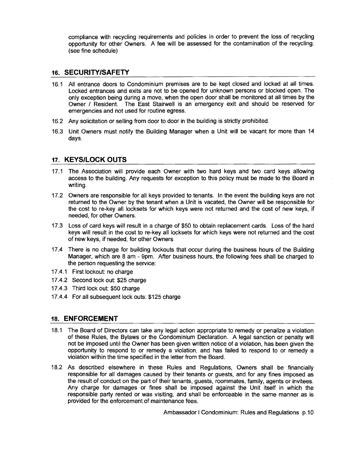compliance with recycling requirements and policies in order to prevent the loss of recycling opportunity for other Owners. A fee will be assessed for the contamination of the recycling. (see fine schedule)

## 16. **SECURITY/SAFETY**

- 16.1 All entrance doors to Condominium premises are to be kept closed and locked at all times. Locked entrances and exits are not to be opened for unknown persons or blocked open. The only exception being during a move, when the open door shall be monitored at all times by the Owner I Resident. The East Stairwell is an emergency exit and should be reserved for emergencies and not used for routine egress.
- 16.2 Any solicitation or selling from door to door in the building is strictly prohibited.
- 16.3 Unit Owners must notify the Building Manager when a Unit will be vacant for more than 14 days.

#### 17. **KEYS/LOCK OUTS**

- 17.1 The Association will provide each Owner with two hard keys and two card keys allowing access to the building. Any requests for exception to this policy must be made to the Board in writing.
- 17.2 Owners are responsible for all keys provided to tenants. In the event the building keys are not returned to the Owner by the tenant when a Unit is vacated, the Owner will be responsible for the cost to re-key all locksets for which keys were not returned and the cost of new keys, if needed, for other Owners.
- 17.3 Loss of card keys will result in a charge of \$50 to obtain replacement cards. Loss of the hard keys will result in the cost to re-key all locksets for which keys were not returned and the cost of new keys, if needed, for other Owners
- 17.4 There is no charge for building lockouts that occur during the business hours of the Building Manager, which are 8 am - 9pm. After business hours, the following fees shall be charged to the person requesting the service:
- 17.4.1 First lockout: no charge
- 17.4.2 Second lock out: \$25 charge
- 17.4.3 Third lock out: \$50 charge
- 17.4.4 For all subsequent lock outs: \$125 charge

#### 18. **ENFORCEMENT**

- 18.1 The Board of Directors can take any legal action appropriate to remedy or penalize a violation of these Rules, the Bylaws or the Condominium Declaration. A legal sanction or penalty will not be imposed until the Owner has been given written notice of a violation, has been given the opportunity to respond to or remedy a violation, and has failed to respond to or remedy a violation within the time specified in the letter from the Board.
- 18.2 As described elsewhere in these Rules and Regulations, Owners shall be financially responsible for all damages caused by their tenants or guests, and for any fines imposed as the result of conduct on the part of their tenants, guests, roommates, family, agents or invitees. Any charge for damages or fines shall be imposed against the Unit itself in which the responsible party rented or was visiting, and shall be enforceable in the same manner as is provided for the enforcement of maintenance fees.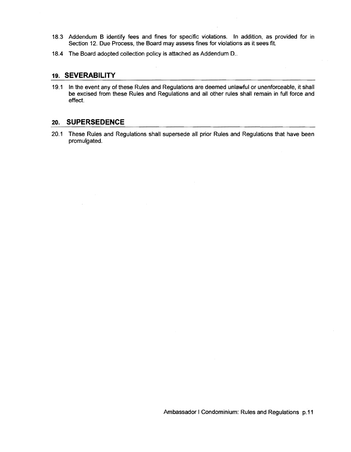- 18.3 Addendum B identify fees and fines for specific violations. In addition, as provided for in Section 12. Due Process, the Board may assess fines for violations as it sees fit.
- 18.4 The Board adopted collection policy is attached as Addendum D..

#### 19. **SEVERABILITY**

19.1 In the event any of these Rules and Regulations are deemed unlawful or unenforceable, it shall be excised from these Rules and Regulations and all other rules shall remain in full force and effect.

#### 20. **SUPERSEDENCE**

 $\sim$ 

20.1 These Rules and Regulations shall supersede all prior Rules and Regulations that have been promulgated.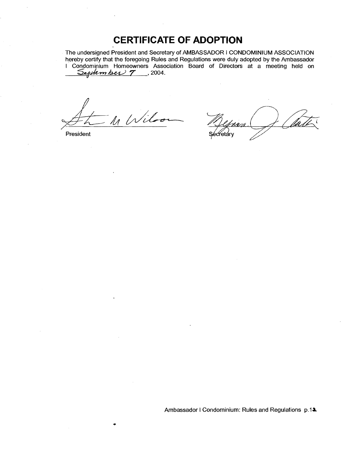# **CERTIFICATE OF ADOPTION**

The undersigned President and Secretary of AMBASSADOR I CONDOMINIUM ASSOCIATION hereby certify that the foregoing Rules and Regulations were duly adopted by the Ambassador I Condominium Homeowners Association Board of Directors at a meeting held on <u>September 7</u>, 2004.

 $H \sim M$  Wilson Quinca J Clark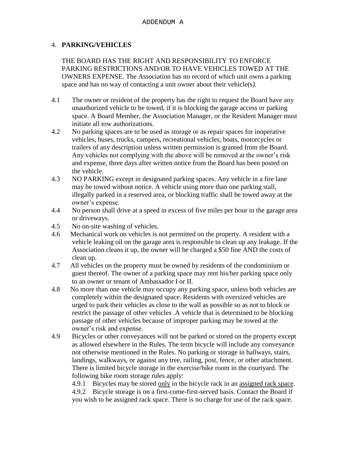# 4. **PARKING/VEHICLES**

THE BOARD HAS THE RIGHT AND RESPONSIBILITY TO ENFORCE PARKING RESTRICTIONS AND/OR TO HAVE VEHICLES TOWED AT THE OWNERS EXPENSE. The Association has no record of which unit owns a parking space and has no way of contacting a unit owner about their vehicle(s*).*

- 4.1 The owner or resident of the property has the right to request the Board have any unauthorized vehicle to be towed, if it is blocking the garage access or parking space. A Board Member, the Association Manager, or the Resident Manager must initiate all tow authorizations.
- 4.2 No parking spaces are to be used as storage or as repair spaces for inoperative vehicles, buses, trucks, campers, recreational vehicles, boats, motorcycles or trailers of any description unless written permission is granted from the Board. Any vehicles not complying with the above will be removed at the owner's risk and expense, three days after written notice from the Board has been posted on the vehicle.
- 4.3 NO PARKING except in designated parking spaces. Any vehicle in a fire lane may be towed without notice. A vehicle using more than one parking stall, illegally parked in a reserved area, or blocking traffic shall be towed away at the owner's expense.
- 4.4 No person shall drive at a speed in excess of five miles per hour in the garage area or driveways.
- 4.5 No on-site washing of vehicles.
- 4.6 Mechanical work on vehicles is not permitted on the property. A resident with a vehicle leaking oil on the garage area is responsible to clean up any leakage. If the Association cleans it up, the owner will be charged a \$50 fine AND the costs of clean up.
- 4.7 All vehicles on the property must be owned by residents of the condominium or guest thereof. The owner of a parking space may rent his/her parking space only to an owner or tenant of Ambassador I or II.
- 4.8 No more than one vehicle may occupy any parking space, unless both vehicles are completely within the designated space. Residents with oversized vehicles are urged to park their vehicles as close to the wall as possible so as not to block or restrict the passage of other vehicles .A vehicle that is determined to be blocking passage of other vehicles because of improper parking may be towed at the owner's risk and expense.
- 4.9 Bicycles or other conveyances will not be parked or stored on the property except as allowed elsewhere in the Rules. The term bicycle will include any conveyance not otherwise mentioned in the Rules. No parking or storage in hallways, stairs, landings, walkways, or against any tree, railing, post, fence, or other attachment. There is limited bicycle storage in the exercise/bike room in the courtyard. The following bike room storage rules apply:

4.9.1 Bicycles may be stored only in the bicycle rack in an assigned rack space. 4.9.2 Bicycle storage is on a first-come-first-served basis. Contact the Board if you wish to be assigned rack space. There is no charge for use of the rack space.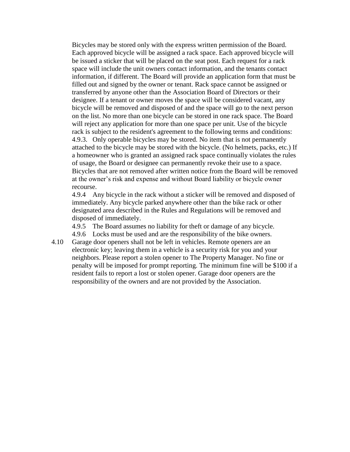Bicycles may be stored only with the express written permission of the Board. Each approved bicycle will be assigned a rack space. Each approved bicycle will be issued a sticker that will be placed on the seat post. Each request for a rack space will include the unit owners contact information, and the tenants contact information, if different. The Board will provide an application form that must be filled out and signed by the owner or tenant. Rack space cannot be assigned or transferred by anyone other than the Association Board of Directors or their designee. If a tenant or owner moves the space will be considered vacant, any bicycle will be removed and disposed of and the space will go to the next person on the list. No more than one bicycle can be stored in one rack space. The Board will reject any application for more than one space per unit. Use of the bicycle rack is subject to the resident's agreement to the following terms and conditions: 4.9.3. Only operable bicycles may be stored. No item that is not permanently attached to the bicycle may be stored with the bicycle. (No helmets, packs, etc.) If a homeowner who is granted an assigned rack space continually violates the rules of usage, the Board or designee can permanently revoke their use to a space. Bicycles that are not removed after written notice from the Board will be removed at the owner's risk and expense and without Board liability or bicycle owner recourse.

4.9.4 Any bicycle in the rack without a sticker will be removed and disposed of immediately. Any bicycle parked anywhere other than the bike rack or other designated area described in the Rules and Regulations will be removed and disposed of immediately.

4.9.5 The Board assumes no liability for theft or damage of any bicycle.

4.9.6 Locks must be used and are the responsibility of the bike owners.

4.10 Garage door openers shall not be left in vehicles. Remote openers are an electronic key; leaving them in a vehicle is a security risk for you and your neighbors. Please report a stolen opener to The Property Manager. No fine or penalty will be imposed for prompt reporting. The minimum fine will be \$100 if a resident fails to report a lost or stolen opener. Garage door openers are the responsibility of the owners and are not provided by the Association.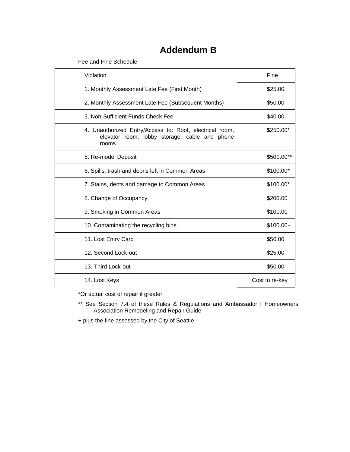# **Addendum B**

Fee and Fine Schedule

| Violation                                                                                                         | Fine           |
|-------------------------------------------------------------------------------------------------------------------|----------------|
| 1. Monthly Assessment Late Fee (First Month)                                                                      | \$25.00        |
| 2. Monthly Assessment Late Fee (Subsequent Months)                                                                | \$50.00        |
| 3. Non-Sufficient Funds Check Fee                                                                                 | \$40.00        |
| 4. Unauthorized Entry/Access to: Roof, electrical room,<br>elevator room, lobby storage, cable and phone<br>rooms | \$250.00*      |
| 5. Re-model Deposit                                                                                               | \$500.00**     |
| 6. Spills, trash and debris left in Common Areas                                                                  | \$100.00*      |
| 7. Stains, dents and damage to Common Areas                                                                       | \$100.00*      |
| 8. Change of Occupancy                                                                                            | \$200.00       |
| 9. Smoking in Common Areas                                                                                        | \$100.00       |
| 10. Contaminating the recycling bins                                                                              | $$100.00+$     |
| 11. Lost Entry Card                                                                                               | \$50.00        |
| 12. Second Lock-out                                                                                               | \$25.00        |
| 13. Third Lock-out                                                                                                | \$50.00        |
| 14. Lost Keys                                                                                                     | Cost to re-key |

\*Or actual cost of repair if greater

\*\* See Section 7.4 of these Rules & Regulations and Ambassador I Homeowners Association Remodeling and Repair Guide

+ plus the fine assessed by the City of Seattle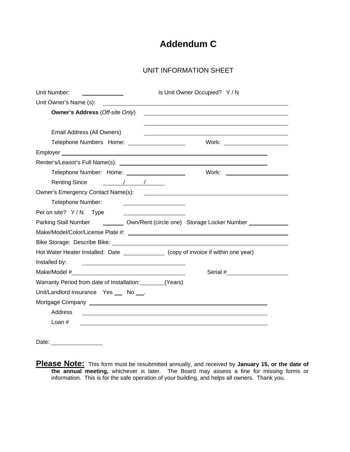# **Addendum C**

# UNIT INFORMATION SHEET

| Unit Number:                                                                                                                                                                                                                        |                                                   | Is Unit Owner Occupied? Y / N                                                           |  |  |  |
|-------------------------------------------------------------------------------------------------------------------------------------------------------------------------------------------------------------------------------------|---------------------------------------------------|-----------------------------------------------------------------------------------------|--|--|--|
| Unit Owner's Name (s):                                                                                                                                                                                                              |                                                   |                                                                                         |  |  |  |
| <b>Owner's Address (Off-site Only)</b>                                                                                                                                                                                              |                                                   |                                                                                         |  |  |  |
|                                                                                                                                                                                                                                     |                                                   |                                                                                         |  |  |  |
| Email Address (All Owners)                                                                                                                                                                                                          |                                                   |                                                                                         |  |  |  |
| Telephone Numbers Home: __________________                                                                                                                                                                                          |                                                   | Work: ________________________                                                          |  |  |  |
|                                                                                                                                                                                                                                     |                                                   |                                                                                         |  |  |  |
|                                                                                                                                                                                                                                     |                                                   |                                                                                         |  |  |  |
| Telephone Number: Home: ____________________                                                                                                                                                                                        |                                                   |                                                                                         |  |  |  |
| Renting Since / / /                                                                                                                                                                                                                 |                                                   |                                                                                         |  |  |  |
| Owner's Emergency Contact Name(s): <u>[1984]</u> Contact Name(s) and the contact of the contact of the contact of the contact of the contact of the contact of the contact of the contact of the contact of the contact of the cont |                                                   |                                                                                         |  |  |  |
| Telephone Number:                                                                                                                                                                                                                   |                                                   |                                                                                         |  |  |  |
| Pet on site? Y/N Type                                                                                                                                                                                                               |                                                   |                                                                                         |  |  |  |
|                                                                                                                                                                                                                                     |                                                   | Parking Stall Number ___________ Own/Rent (circle one) Storage Locker Number __________ |  |  |  |
|                                                                                                                                                                                                                                     |                                                   |                                                                                         |  |  |  |
|                                                                                                                                                                                                                                     |                                                   |                                                                                         |  |  |  |
| Hot Water Heater Installed: Date _______________ (copy of invoice if within one year)                                                                                                                                               |                                                   |                                                                                         |  |  |  |
| Installed by:                                                                                                                                                                                                                       | <u> 1980 - John Stone, amerikansk politiker (</u> |                                                                                         |  |  |  |
|                                                                                                                                                                                                                                     |                                                   |                                                                                         |  |  |  |
| Warranty Period from date of Installation: (Years)                                                                                                                                                                                  |                                                   |                                                                                         |  |  |  |
| Unit/Landlord Insurance Yes __ No ___.                                                                                                                                                                                              |                                                   |                                                                                         |  |  |  |
|                                                                                                                                                                                                                                     |                                                   |                                                                                         |  |  |  |
| Address                                                                                                                                                                                                                             |                                                   |                                                                                         |  |  |  |
| Loan $#$                                                                                                                                                                                                                            |                                                   |                                                                                         |  |  |  |
|                                                                                                                                                                                                                                     |                                                   |                                                                                         |  |  |  |
|                                                                                                                                                                                                                                     |                                                   |                                                                                         |  |  |  |

Date: <u>www.community.com</u>

**Please Note:** This form must be resubmitted annually, and received by **January 15, or the date of the annual meeting,** whichever is later. The Board may assess a fine for missing forms or information. This is for the safe operation of your building, and helps all owners. Thank you.